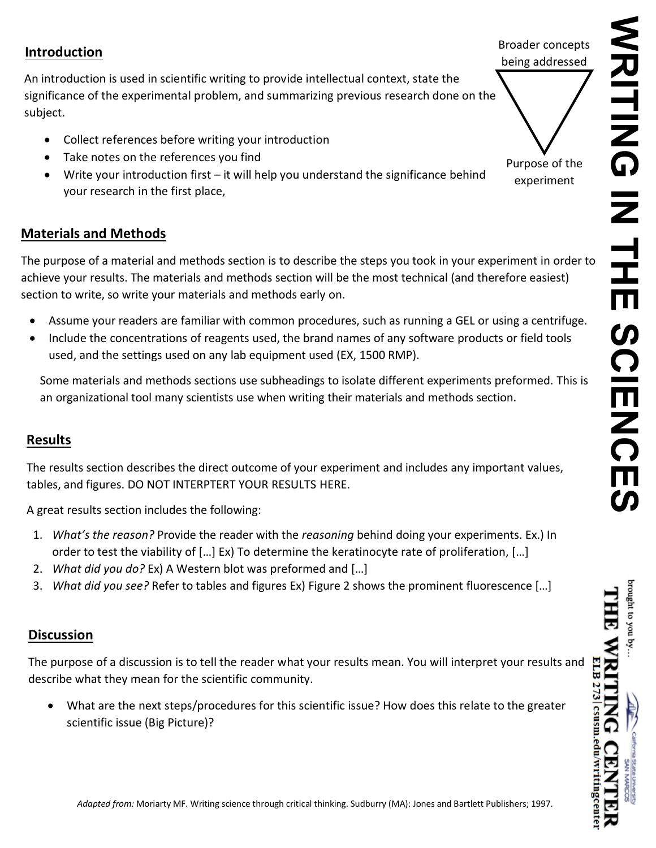# **Introduction**

An introduction is used in scientific writing to provide intellectual context, state the significance of the experimental problem, and summarizing previous research done on the subject.

- Collect references before writing your introduction
- Take notes on the references you find
- Write your introduction first it will help you understand the significance behind your research in the first place,

# **Materials and Methods**

The purpose of a material and methods section is to describe the steps you took in your experiment in order to achieve your results. The materials and methods section will be the most technical (and therefore easiest) section to write, so write your materials and methods early on.

- Assume your readers are familiar with common procedures, such as running a GEL or using a centrifuge.
- Include the concentrations of reagents used, the brand names of any software products or field tools used, and the settings used on any lab equipment used (EX, 1500 RMP).

Some materials and methods sections use subheadings to isolate different experiments preformed. This is an organizational tool many scientists use when writing their materials and methods section.

## **Results**

The results section describes the direct outcome of your experiment and includes any important values, tables, and figures. DO NOT INTERPTERT YOUR RESULTS HERE.

A great results section includes the following:

- 1. *What's the reason?* Provide the reader with the *reasoning* behind doing your experiments. Ex.) In order to test the viability of […] Ex) To determine the keratinocyte rate of proliferation, […]
- 2. *What did you do?* Ex) A Western blot was preformed and […]
- 3. *What did you see?* Refer to tables and figures Ex) Figure 2 shows the prominent fluorescence […]

# **Discussion**

The purpose of a discussion is to tell the reader what your results mean. You will interpret your results and describe what they mean for the scientific community.

• What are the next steps/procedures for this scientific issue? How does this relate to the greater scientific issue (Big Picture)?

Broader concepts being addressed



Purpose of the experiment